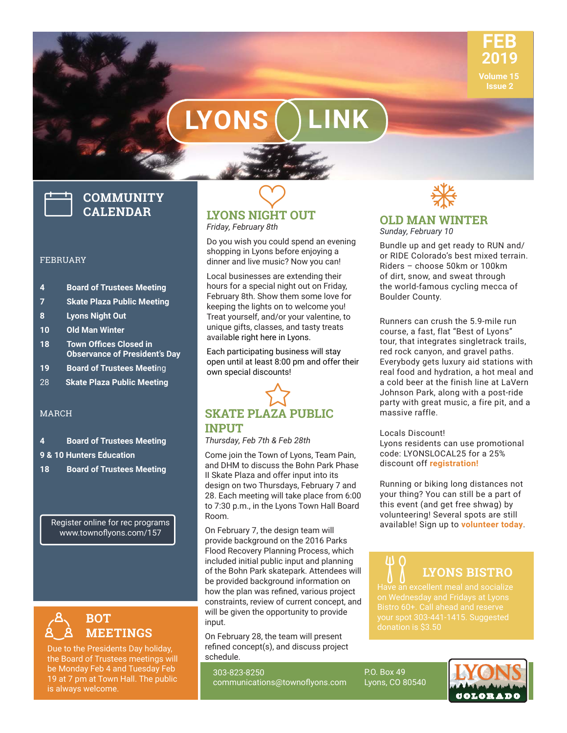

# **LYONS LINK**

# **COMMUNITY CALENDAR**

#### FEBRUARY

- **4 Board of Trustees Meeting**
- **7 Skate Plaza Public Meeting**
- **8 Lyons Night Out**
- **10 Old Man Winter**
- **18 Town Offices Closed in Observance of President's Day**
- **19 Board of Trustees Meeti**ng
- 28 **Skate Plaza Public Meeting**

#### MARCH

- **4 Board of Trustees Meeting**
- **9 & 10 Hunters Education**
- **18 Board of Trustees Meeting**

Register online for rec programs www.townoflyons.com/157



Due to the Presidents Day holiday, the Board of Trustees meetings will be Monday Feb 4 and Tuesday Feb 19 at 7 pm at Town Hall. The public is always welcome.



Do you wish you could spend an evening shopping in Lyons before enjoying a dinner and live music? Now you can!

Local businesses are extending their hours for a special night out on Friday, February 8th. Show them some love for keeping the lights on to welcome you! Treat yourself, and/or your valentine, to unique gifts, classes, and tasty treats available right here in Lyons.

Each participating business will stay open until at least 8:00 pm and offer their own special discounts!



*Thursday, Feb 7th & Feb 28th* 

Come join the Town of Lyons, Team Pain, and DHM to discuss the Bohn Park Phase II Skate Plaza and offer input into its design on two Thursdays, February 7 and 28. Each meeting will take place from 6:00 to 7:30 p.m., in the Lyons Town Hall Board Room.

On February 7, the design team will provide background on the 2016 Parks Flood Recovery Planning Process, which included initial public input and planning of the Bohn Park skatepark. Attendees will be provided background information on how the plan was refined, various project constraints, review of current concept, and will be given the opportunity to provide input.

On February 28, the team will present refined concept(s), and discuss project schedule.

303-823-8250 communications@townoflyons.com



#### **OLD MAN WINTER** *Sunday, February 10*

Bundle up and get ready to RUN and/ or RIDE Colorado's best mixed terrain. Riders – choose 50km or 100km of dirt, snow, and sweat through the world-famous cycling mecca of Boulder County.

Runners can crush the 5.9-mile run course, a fast, flat "Best of Lyons" tour, that integrates singletrack trails, red rock canyon, and gravel paths. Everybody gets luxury aid stations with real food and hydration, a hot meal and a cold beer at the finish line at LaVern Johnson Park, along with a post-ride party with great music, a fire pit, and a massive raffle.

Locals Discount!

Lyons residents can use promotional code: LYONSLOCAL25 for a 25% discount off **registration!**

Running or biking long distances not your thing? You can still be a part of this event (and get free shwag) by volunteering! Several spots are still available! Sign up to **volunteer today**.

# **LYONS BISTRO**

Have an excellent meal and socialize your spot 303-441-1415. Suggested

P.O. Box 49 Lyons, CO 80540